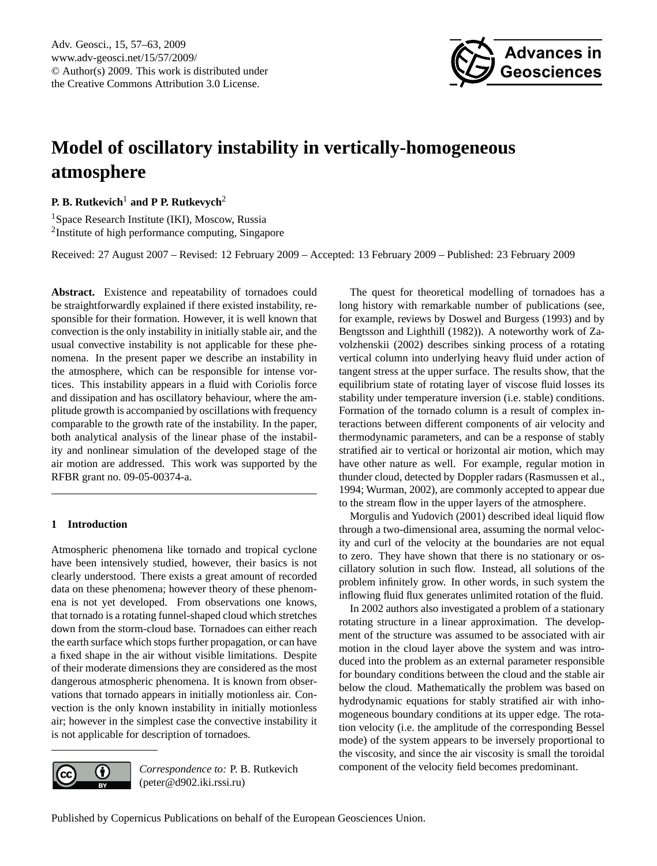

# <span id="page-0-0"></span>**Model of oscillatory instability in vertically-homogeneous atmosphere**

**P. B. Rutkevich**<sup>1</sup> **and P P. Rutkevych**<sup>2</sup>

<sup>1</sup>Space Research Institute (IKI), Moscow, Russia <sup>2</sup>Institute of high performance computing, Singapore

Received: 27 August 2007 – Revised: 12 February 2009 – Accepted: 13 February 2009 – Published: 23 February 2009

**Abstract.** Existence and repeatability of tornadoes could be straightforwardly explained if there existed instability, responsible for their formation. However, it is well known that convection is the only instability in initially stable air, and the usual convective instability is not applicable for these phenomena. In the present paper we describe an instability in the atmosphere, which can be responsible for intense vortices. This instability appears in a fluid with Coriolis force and dissipation and has oscillatory behaviour, where the amplitude growth is accompanied by oscillations with frequency comparable to the growth rate of the instability. In the paper, both analytical analysis of the linear phase of the instability and nonlinear simulation of the developed stage of the air motion are addressed. This work was supported by the RFBR grant no. 09-05-00374-a.

## **1 Introduction**

 $\left( \cdot \right)$ 

(cc

Atmospheric phenomena like tornado and tropical cyclone have been intensively studied, however, their basics is not clearly understood. There exists a great amount of recorded data on these phenomena; however theory of these phenomena is not yet developed. From observations one knows, that tornado is a rotating funnel-shaped cloud which stretches down from the storm-cloud base. Tornadoes can either reach the earth surface which stops further propagation, or can have a fixed shape in the air without visible limitations. Despite of their moderate dimensions they are considered as the most dangerous atmospheric phenomena. It is known from observations that tornado appears in initially motionless air. Convection is the only known instability in initially motionless air; however in the simplest case the convective instability it is not applicable for description of tornadoes.

> *Correspondence to:* P. B. Rutkevich (peter@d902.iki.rssi.ru)

The quest for theoretical modelling of tornadoes has a long history with remarkable number of publications (see, for example, reviews by [Doswel and Burgess](#page-6-0) [\(1993\)](#page-6-0) and by [Bengtsson and Lighthill](#page-6-1) [\(1982\)](#page-6-1)). A noteworthy work of [Za](#page-6-2)[volzhenskii](#page-6-2) [\(2002\)](#page-6-2) describes sinking process of a rotating vertical column into underlying heavy fluid under action of tangent stress at the upper surface. The results show, that the equilibrium state of rotating layer of viscose fluid losses its stability under temperature inversion (i.e. stable) conditions. Formation of the tornado column is a result of complex interactions between different components of air velocity and thermodynamic parameters, and can be a response of stably stratified air to vertical or horizontal air motion, which may have other nature as well. For example, regular motion in thunder cloud, detected by Doppler radars [\(Rasmussen et al.,](#page-6-3) [1994;](#page-6-3) [Wurman,](#page-6-4) [2002\)](#page-6-4), are commonly accepted to appear due to the stream flow in the upper layers of the atmosphere.

[Morgulis and Yudovich](#page-6-5) [\(2001\)](#page-6-5) described ideal liquid flow through a two-dimensional area, assuming the normal velocity and curl of the velocity at the boundaries are not equal to zero. They have shown that there is no stationary or oscillatory solution in such flow. Instead, all solutions of the problem infinitely grow. In other words, in such system the inflowing fluid flux generates unlimited rotation of the fluid.

In 2002 authors also investigated a problem of a stationary rotating structure in a linear approximation. The development of the structure was assumed to be associated with air motion in the cloud layer above the system and was introduced into the problem as an external parameter responsible for boundary conditions between the cloud and the stable air below the cloud. Mathematically the problem was based on hydrodynamic equations for stably stratified air with inhomogeneous boundary conditions at its upper edge. The rotation velocity (i.e. the amplitude of the corresponding Bessel mode) of the system appears to be inversely proportional to the viscosity, and since the air viscosity is small the toroidal component of the velocity field becomes predominant.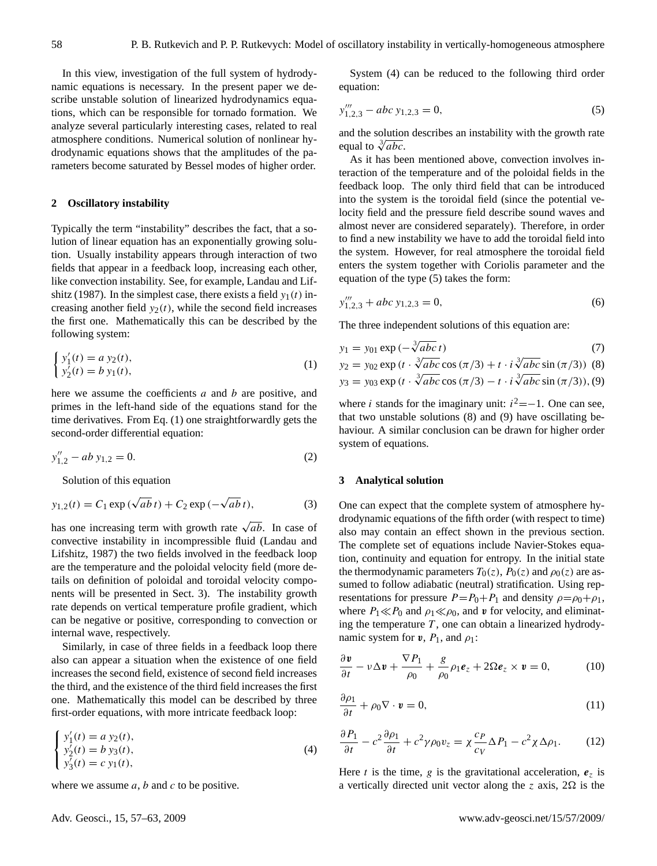In this view, investigation of the full system of hydrodynamic equations is necessary. In the present paper we describe unstable solution of linearized hydrodynamics equations, which can be responsible for tornado formation. We analyze several particularly interesting cases, related to real atmosphere conditions. Numerical solution of nonlinear hydrodynamic equations shows that the amplitudes of the parameters become saturated by Bessel modes of higher order.

### **2 Oscillatory instability**

Typically the term "instability" describes the fact, that a solution of linear equation has an exponentially growing solution. Usually instability appears through interaction of two fields that appear in a feedback loop, increasing each other, like convection instability. See, for example, [Landau and Lif](#page-6-6)[shitz](#page-6-6) [\(1987\)](#page-6-6). In the simplest case, there exists a field  $y_1(t)$  increasing another field  $y_2(t)$ , while the second field increases the first one. Mathematically this can be described by the following system:

<span id="page-1-0"></span>
$$
\begin{cases} y_1'(t) = a y_2(t), \\ y_2'(t) = b y_1(t), \end{cases}
$$
 (1)

here we assume the coefficients  $a$  and  $b$  are positive, and primes in the left-hand side of the equations stand for the time derivatives. From Eq. [\(1\)](#page-1-0) one straightforwardly gets the second-order differential equation:

$$
y_{1,2}'' - ab y_{1,2} = 0.
$$
 (2)

Solution of this equation

$$
y_{1,2}(t) = C_1 \exp(\sqrt{ab} t) + C_2 \exp(-\sqrt{ab} t),
$$
 (3)

has one increasing term with growth rate  $\sqrt{ab}$ . In case of convective instability in incompressible fluid [\(Landau and](#page-6-6) [Lifshitz,](#page-6-6) [1987\)](#page-6-6) the two fields involved in the feedback loop are the temperature and the poloidal velocity field (more details on definition of poloidal and toroidal velocity components will be presented in Sect. 3). The instability growth rate depends on vertical temperature profile gradient, which can be negative or positive, corresponding to convection or internal wave, respectively.

Similarly, in case of three fields in a feedback loop there also can appear a situation when the existence of one field increases the second field, existence of second field increases the third, and the existence of the third field increases the first one. Mathematically this model can be described by three first-order equations, with more intricate feedback loop:

<span id="page-1-1"></span>
$$
\begin{cases}\ny'_1(t) = a y_2(t), \\
y'_2(t) = b y_3(t), \\
y'_3(t) = c y_1(t),\n\end{cases}
$$
\n(4)

where we assume  $a, b$  and  $c$  to be positive.

System [\(4\)](#page-1-1) can be reduced to the following third order equation:

<span id="page-1-2"></span>
$$
y_{1,2,3}''' - abc y_{1,2,3} = 0,\t\t(5)
$$

and the solution describes an instability with the growth rate and the solution<br>equal to  $\sqrt[3]{abc}$ .

As it has been mentioned above, convection involves interaction of the temperature and of the poloidal fields in the feedback loop. The only third field that can be introduced into the system is the toroidal field (since the potential velocity field and the pressure field describe sound waves and almost never are considered separately). Therefore, in order to find a new instability we have to add the toroidal field into the system. However, for real atmosphere the toroidal field enters the system together with Coriolis parameter and the equation of the type [\(5\)](#page-1-2) takes the form:

$$
y_{1,2,3}''' + abc y_{1,2,3} = 0,\t\t(6)
$$

The three independent solutions of this equation are:

$$
y_1 = y_{01} \exp\left(-\sqrt[3]{abc} \, t\right) \tag{7}
$$
\n
$$
y_2 = y_{01} \exp\left(-\sqrt[3]{abc} \, t\right) \tag{8}
$$

<span id="page-1-3"></span>
$$
y_2 = y_{02} \exp(t \cdot \sqrt[3]{abc} \cos(\pi/3) + t \cdot i \sqrt[3]{abc} \sin(\pi/3))
$$
 (8)  

$$
y_3 = y_{03} \exp(t \cdot \sqrt[3]{abc} \cos(\pi/3) - t \cdot i \sqrt[3]{abc} \sin(\pi/3))
$$
, (9)

where *i* stands for the imaginary unit:  $i^2 = -1$ . One can see, that two unstable solutions [\(8\)](#page-1-3) and [\(9\)](#page-1-3) have oscillating behaviour. A similar conclusion can be drawn for higher order system of equations.

### **3 Analytical solution**

One can expect that the complete system of atmosphere hydrodynamic equations of the fifth order (with respect to time) also may contain an effect shown in the previous section. The complete set of equations include Navier-Stokes equation, continuity and equation for entropy. In the initial state the thermodynamic parameters  $T_0(z)$ ,  $P_0(z)$  and  $\rho_0(z)$  are assumed to follow adiabatic (neutral) stratification. Using representations for pressure  $P=P_0+P_1$  and density  $\rho=\rho_0+\rho_1$ , where  $P_1 \ll P_0$  and  $\rho_1 \ll \rho_0$ , and v for velocity, and eliminating the temperature  $T$ , one can obtain a linearized hydrodynamic system for  $v$ ,  $P_1$ , and  $\rho_1$ :

<span id="page-1-4"></span>
$$
\frac{\partial \mathbf{v}}{\partial t} - v \Delta \mathbf{v} + \frac{\nabla P_1}{\rho_0} + \frac{g}{\rho_0} \rho_1 \mathbf{e}_z + 2\Omega \mathbf{e}_z \times \mathbf{v} = 0, \tag{10}
$$

<span id="page-1-6"></span>
$$
\frac{\partial \rho_1}{\partial t} + \rho_0 \nabla \cdot \mathbf{v} = 0, \tag{11}
$$

<span id="page-1-5"></span>
$$
\frac{\partial P_1}{\partial t} - c^2 \frac{\partial \rho_1}{\partial t} + c^2 \gamma \rho_0 v_z = \chi \frac{c_P}{c_V} \Delta P_1 - c^2 \chi \Delta \rho_1. \tag{12}
$$

Here t is the time, g is the gravitational acceleration,  $e_z$  is a vertically directed unit vector along the z axis,  $2\Omega$  is the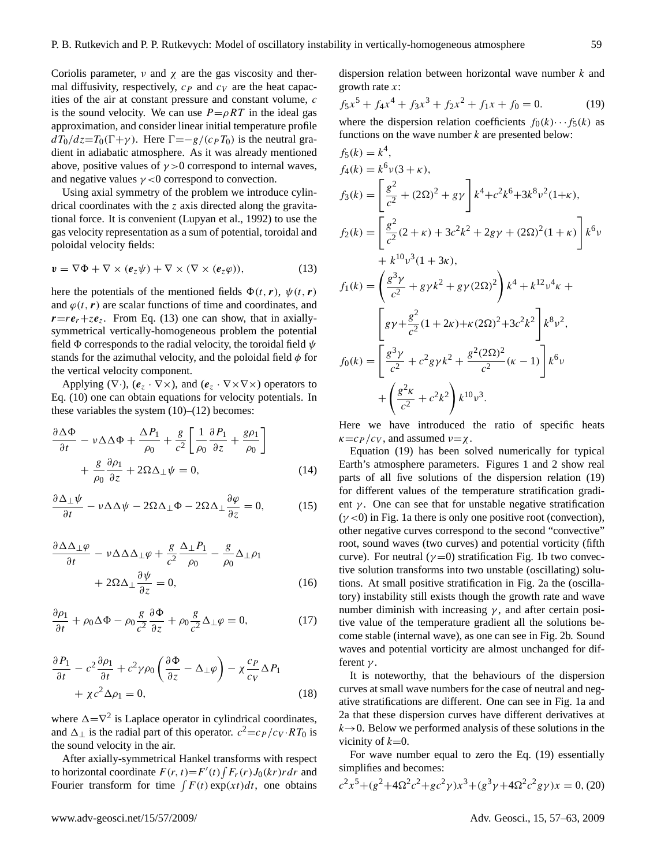Coriolis parameter,  $\nu$  and  $\chi$  are the gas viscosity and thermal diffusivity, respectively,  $c_P$  and  $c_V$  are the heat capacities of the air at constant pressure and constant volume, c is the sound velocity. We can use  $P = \rho RT$  in the ideal gas approximation, and consider linear initial temperature profile  $dT_0/dz=T_0(\Gamma+\gamma)$ . Here  $\Gamma=-g/(c_P T_0)$  is the neutral gradient in adiabatic atmosphere. As it was already mentioned above, positive values of  $\gamma > 0$  correspond to internal waves, and negative values  $\gamma$  <0 correspond to convection.

Using axial symmetry of the problem we introduce cylindrical coordinates with the  $z$  axis directed along the gravitational force. It is convenient [\(Lupyan et al.,](#page-6-7) [1992\)](#page-6-7) to use the gas velocity representation as a sum of potential, toroidal and poloidal velocity fields:

<span id="page-2-0"></span>
$$
\mathbf{v} = \nabla \Phi + \nabla \times (\mathbf{e}_z \psi) + \nabla \times (\nabla \times (\mathbf{e}_z \varphi)), \tag{13}
$$

here the potentials of the mentioned fields  $\Phi(t, r)$ ,  $\psi(t, r)$ and  $\varphi(t, r)$  are scalar functions of time and coordinates, and  $r=r e_r+z e_z$ . From Eq. [\(13\)](#page-2-0) one can show, that in axiallysymmetrical vertically-homogeneous problem the potential field  $\Phi$  corresponds to the radial velocity, the toroidal field  $\psi$ stands for the azimuthal velocity, and the poloidal field  $\phi$  for the vertical velocity component.

Applying ( $\nabla \cdot$ ),  $(e_z \cdot \nabla \times)$ , and  $(e_z \cdot \nabla \times \nabla \times)$  operators to Eq. [\(10\)](#page-1-4) one can obtain equations for velocity potentials. In these variables the system  $(10)$ – $(12)$  becomes:

<span id="page-2-3"></span>
$$
\frac{\partial \Delta \Phi}{\partial t} - \nu \Delta \Delta \Phi + \frac{\Delta P_1}{\rho_0} + \frac{g}{c^2} \left[ \frac{1}{\rho_0} \frac{\partial P_1}{\partial z} + \frac{g \rho_1}{\rho_0} \right] + \frac{g}{\rho_0} \frac{\partial \rho_1}{\partial z} + 2\Omega \Delta_\perp \psi = 0,
$$
\n(14)

$$
\frac{\partial \Delta_{\perp} \psi}{\partial t} - \nu \Delta \Delta \psi - 2\Omega \Delta_{\perp} \Phi - 2\Omega \Delta_{\perp} \frac{\partial \varphi}{\partial z} = 0, \tag{15}
$$

$$
\frac{\partial \Delta \Delta_{\perp} \varphi}{\partial t} - \nu \Delta \Delta_{\perp} \varphi + \frac{g}{c^2} \frac{\Delta_{\perp} P_1}{\rho_0} - \frac{g}{\rho_0} \Delta_{\perp} \rho_1 + 2\Omega \Delta_{\perp} \frac{\partial \psi}{\partial z} = 0,
$$
\n(16)

<span id="page-2-4"></span>
$$
\frac{\partial \rho_1}{\partial t} + \rho_0 \Delta \Phi - \rho_0 \frac{g}{c^2} \frac{\partial \Phi}{\partial z} + \rho_0 \frac{g}{c^2} \Delta_\perp \varphi = 0, \tag{17}
$$

<span id="page-2-2"></span>
$$
\frac{\partial P_1}{\partial t} - c^2 \frac{\partial \rho_1}{\partial t} + c^2 \gamma \rho_0 \left( \frac{\partial \Phi}{\partial z} - \Delta_\perp \varphi \right) - \chi \frac{c_P}{c_V} \Delta P_1 + \chi c^2 \Delta \rho_1 = 0,
$$
\n(18)

where  $\Delta = \nabla^2$  is Laplace operator in cylindrical coordinates, and  $\Delta_{\perp}$  is the radial part of this operator.  $c^2 = c_P / c_V \cdot RT_0$  is the sound velocity in the air.

After axially-symmetrical Hankel transforms with respect to horizontal coordinate  $F(r, t) = F'(t) \int F_r(r) J_0(kr) r dr$  and Fourier transform for time  $\int F(t) \exp(xt) dt$ , one obtains

dispersion relation between horizontal wave number  $k$  and growth rate  $x$ :

<span id="page-2-1"></span>
$$
f_5x^5 + f_4x^4 + f_3x^3 + f_2x^2 + f_1x + f_0 = 0.
$$
 (19)

where the dispersion relation coefficients  $f_0(k) \cdots f_5(k)$  as functions on the wave number  $k$  are presented below:

$$
f_5(k) = k^4,
$$
  
\n
$$
f_4(k) = k^6 \nu (3 + \kappa),
$$
  
\n
$$
f_3(k) = \left[ \frac{g^2}{c^2} + (2\Omega)^2 + g\gamma \right] k^4 + c^2 k^6 + 3k^8 \nu^2 (1 + \kappa),
$$
  
\n
$$
f_2(k) = \left[ \frac{g^2}{c^2} (2 + \kappa) + 3c^2 k^2 + 2g\gamma + (2\Omega)^2 (1 + \kappa) \right] k^6 \nu + k^{10} \nu^3 (1 + 3\kappa),
$$
  
\n
$$
f_1(k) = \left( \frac{g^3 \gamma}{c^2} + g\gamma k^2 + g\gamma (2\Omega)^2 \right) k^4 + k^{12} \nu^4 \kappa +
$$
  
\n
$$
\left[ g\gamma + \frac{g^2}{c^2} (1 + 2\kappa) + \kappa (2\Omega)^2 + 3c^2 k^2 \right] k^8 \nu^2,
$$
  
\n
$$
f_0(k) = \left[ \frac{g^3 \gamma}{c^2} + c^2 g\gamma k^2 + \frac{g^2 (2\Omega)^2}{c^2} (\kappa - 1) \right] k^6 \nu + \left( \frac{g^2 \kappa}{c^2} + c^2 k^2 \right) k^{10} \nu^3.
$$

Here we have introduced the ratio of specific heats  $\kappa = c_P / c_V$ , and assumed  $\nu = \chi$ .

Equation [\(19\)](#page-2-1) has been solved numerically for typical Earth's atmosphere parameters. Figures [1](#page-3-0) and [2](#page-3-1) show real parts of all five solutions of the dispersion relation [\(19\)](#page-2-1) for different values of the temperature stratification gradient  $\gamma$ . One can see that for unstable negative stratification  $(\gamma < 0)$  in Fig. [1a](#page-3-0) there is only one positive root (convection), other negative curves correspond to the second "convective" root, sound waves (two curves) and potential vorticity (fifth curve). For neutral ( $\gamma$ =0) stratification Fig. [1b](#page-3-0) two convective solution transforms into two unstable (oscillating) solutions. At small positive stratification in Fig. [2a](#page-3-1) the (oscillatory) instability still exists though the growth rate and wave number diminish with increasing  $\gamma$ , and after certain positive value of the temperature gradient all the solutions become stable (internal wave), as one can see in Fig. [2b](#page-3-1). Sound waves and potential vorticity are almost unchanged for different  $\gamma$ .

It is noteworthy, that the behaviours of the dispersion curves at small wave numbers for the case of neutral and negative stratifications are different. One can see in Fig. [1a](#page-3-0) and [2a](#page-3-1) that these dispersion curves have different derivatives at  $k\rightarrow 0$ . Below we performed analysis of these solutions in the vicinity of  $k=0$ .

For wave number equal to zero the Eq. [\(19\)](#page-2-1) essentially simplifies and becomes:

$$
c^{2}x^{5} + (g^{2} + 4\Omega^{2}c^{2} + gc^{2}\gamma)x^{3} + (g^{3}\gamma + 4\Omega^{2}c^{2}g\gamma)x = 0, (20)
$$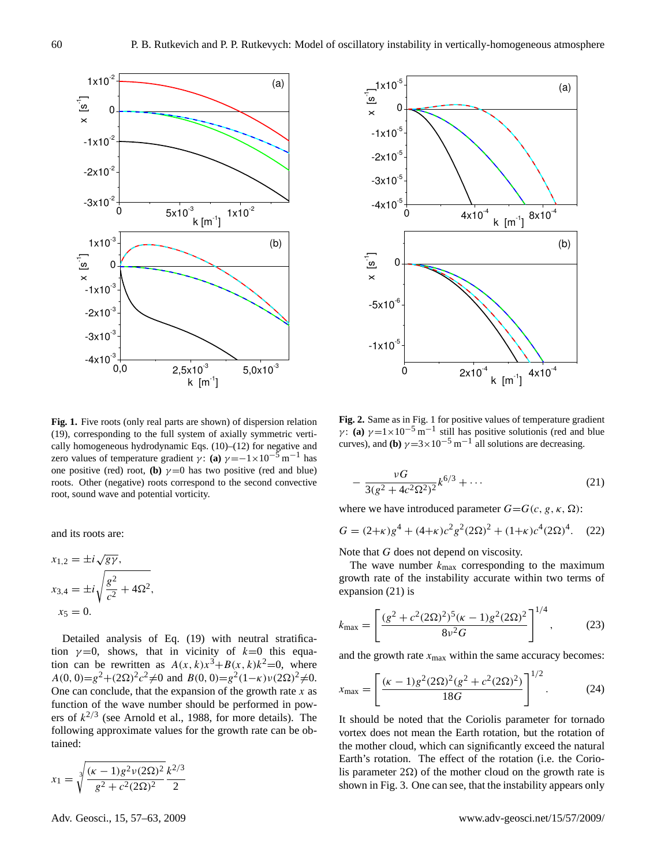

<span id="page-3-0"></span>**Fig. 1.** Five roots (only real parts are shown) of dispersion relation Fig. 1. Five roots (only real parts are shown) of dispersion relation [\(19\)](#page-2-1), corresponding to the full system of axially symmetric verti-cally homogeneous hydrodynamic Eqs. [\(10\)](#page-1-4)–[\(12\)](#page-1-5) for negative and zero values of temperature gradient γ: **(a)**  $\gamma = -1 \times 10^{-5}$  m<sup>-1</sup> has one positive (red) root, **(b)**  $\gamma = 0$  has two positive (red and blue) roots. Other (negative) roots correspond to the second convective roots. root, sound wave and potential vorticity.

and its roots are:

<span id="page-3-2"></span>
$$
x_{1,2} = \pm i \sqrt{g\gamma},
$$
  
\n
$$
x_{3,4} = \pm i \sqrt{\frac{g^2}{c^2} + 4\Omega^2},
$$
  
\n
$$
x_5 = 0.
$$

Detailed analysis of Eq. [\(19\)](#page-2-1) with neutral stratification  $\gamma = 0$ , shows, that in vicinity of  $k=0$  this equation can be rewritten as  $A(x, k)x^3+B(x, k)k^2=0$ , where  $A(0, 0)=g^2+(2\Omega)^2c^2\neq 0$  and  $B(0, 0)=g^2(1-\kappa)\nu(2\Omega)^2\neq 0$ . One can conclude, that the expansion of the growth rate  $x$  as function of the wave number should be performed in powers of  $k^{2/3}$  (see [Arnold et al.,](#page-6-8) [1988,](#page-6-8) for more details). The following approximate values for the growth rate can be obtained:

$$
x_1 = \sqrt[3]{\frac{(\kappa - 1)g^2 \nu(2\Omega)^2}{g^2 + c^2(2\Omega)^2}} \frac{k^{2/3}}{2}
$$



P.B. Rutkevich and P.P. Rutkevych: Instability in vertically homogeneous atmosphere 7

<span id="page-3-1"></span>**Fig. 2.** Same as in Fig. 1 for positive values of temperature gradient  $γ$ : **(a)**  $γ = 1 \times 10^{-5}$  m<sup>-1</sup> still has positive solutionis (red and blue curves), and **(b)**  $\gamma = 3 \times 10^{-5}$  m<sup>-1</sup> all solutions are decreasing.

$$
-\frac{\nu G}{3(g^2+4c^2\Omega^2)^2}k^{6/3}+\cdots
$$
 (21)

Exercise introduced parameter  $G = G(c, g, \kappa, S)$ where we have introduced parameter  $G = G(c, g, \kappa, \Omega)$ :

$$
3(g^{2} + 4c^{2}\Omega^{2})^{2}
$$
  
where we have introduced parameter  $G = G(c, g, \kappa, \Omega)$ :  

$$
G = (2+\kappa)g^{4} + (4+\kappa)c^{2}g^{2}(2\Omega)^{2} + (1+\kappa)c^{4}(2\Omega)^{4}.
$$
 (22)

Note that  $G$  does not depend on viscosity.

 $\overline{\text{is}}$ growth rate of the instability accurate within two terms of The wave number  $k_{\text{max}}$  corresponding to the maximum expansion [\(21\)](#page-3-2) is

$$
k_{\text{max}} = \left[ \frac{(g^2 + c^2 (2\Omega)^2)^5 (\kappa - 1) g^2 (2\Omega)^2}{8 \nu^2 G} \right]^{1/4},\tag{23}
$$

and the growth rate  $x_{\text{max}}$  within the same accuracy becomes: κ = 1.4.

<span id="page-3-3"></span>
$$
x_{\text{max}} = \left[ \frac{(\kappa - 1)g^2 (2\Omega)^2 (g^2 + c^2 (2\Omega)^2)}{18G} \right]^{1/2}.
$$
 (24)

It should be noted that the Coriolis parameter for tornado vortex does not mean the Earth rotation, but the rotation of the mother cloud, which can significantly exceed the natural Earth's rotation. The effect of the rotation (i.e. the Coriolis parameter  $2\Omega$ ) of the mother cloud on the growth rate is shown in Fig. [3.](#page-4-0) One can see, that the instability appears only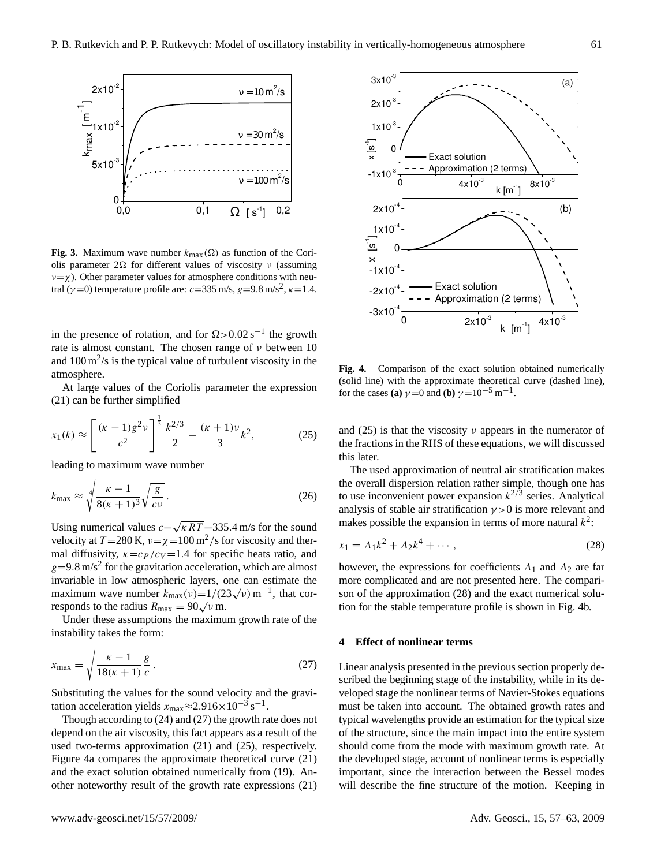

<span id="page-4-0"></span>**Fig. 3.** Maximum wave number kmax(Ω) as function of the Cori-**Fig. 3.** Maximum wave number  $k_{\text{max}}(\Omega)$  as function of the Cori-<br>olis parameter 20 for different values of viscosity y (assuming olis parameter 2Ω for different values of viscosity ν (assuming  $v = \chi$ ). Other parameter values for atmosphere conditions with neutral ( $\gamma$ =0) temperature profile are:  $c$ =335 m/s, g=9.8 m/s<sup>2</sup>,  $\kappa$ =1.4. infinitely.

in the presence of rotation, and for  $\Omega > 0.02 \text{ s}^{-1}$  the growth rate is almost constant. The chosen range of  $\nu$  between 10 and  $100 \text{ m}^2/\text{s}$  is the typical value of turbulent viscosity in the atmosphere.

At large values of the Coriolis parameter the expression  $(21)$  can be further simplified

<span id="page-4-2"></span>
$$
x_1(k) \approx \left[\frac{(\kappa - 1)g^2 \nu}{c^2}\right]^{\frac{1}{3}} \frac{k^{2/3}}{2} - \frac{(\kappa + 1)\nu}{3}k^2,\tag{25}
$$

leading to maximum wave number

$$
k_{\text{max}} \approx \sqrt[4]{\frac{\kappa - 1}{8(\kappa + 1)^3} \sqrt{\frac{g}{cv}}}.
$$
 (26)

Using numerical values  $c=$ √  $\cos c = \sqrt{\kappa RT} = 335.4 \text{ m/s}$  for the sound velocity at  $T = 280$  K,  $\nu = \chi = 100 \text{ m}^2/\text{s}$  for viscosity and thermal diffusivity,  $\kappa = c_P / c_V = 1.4$  for specific heats ratio, and  $g=9.8 \text{ m/s}^2$  for the gravitation acceleration, which are almost  $g = 2.0 \text{ m/s}$  for the gravitation acceleration, which are almost mvariable in low atmospheric layers, one can estimate the maximum wave number  $k_{\text{max}}(v)=1/(23\sqrt{v}) \text{ m}^{-1}$ , that cormaximum wave number  $k_{\text{max}}(v) = 1/(25\sqrt{v})$  m<sup>-</sup>, that cor-<br>responds to the radius  $R_{\text{max}} = 90\sqrt{v}$  m. ti

Under these assumptions the maximum growth rate of the  $\frac{1}{2}$  instability takes the form:  $v_{\rm{obs}}$ . Other parameter values  $v_{\rm{obs}}$ 

<span id="page-4-1"></span>
$$
x_{\text{max}} = \sqrt{\frac{\kappa - 1}{18(\kappa + 1)}} \frac{g}{c} \,. \tag{27}
$$

Substituting the values for the sound velocity and the gravitation acceleration yields  $x_{\text{max}} \approx 2.916 \times 10^{-3} \text{ s}^{-1}$ .

Though according to [\(24\)](#page-3-3) and [\(27\)](#page-4-1) the growth rate does not depend on the air viscosity, this fact appears as a result of the used two-terms approximation [\(21\)](#page-3-2) and [\(25\)](#page-4-2), respectively. Figure [4a](#page-4-3) compares the approximate theoretical curve [\(21\)](#page-3-2) and the exact solution obtained numerically from [\(19\)](#page-2-1). Another noteworthy result of the growth rate expressions [\(21\)](#page-3-2)



<span id="page-4-3"></span>Fig. 4. Comparison of the exact solution obtained numerically (solid line) with the approximate theoretical curve (dashed line), for the cases **(a)**  $\gamma = 0$  and **(b)**  $\gamma = 10^{-5}$  m<sup>-1</sup>.

the fractions in the RHS of these equations, we will discussed<br>this later and [\(25\)](#page-4-2) is that the viscosity  $\nu$  appears in the numerator of this later.

makes possible the expansion in terms of more natural  $k^2$ : to use inconvenient power expansion  $k^{2/3}$  series. Analytical The used approximation of neutral air stratification makes the overall dispersion relation rather simple, though one has analysis of stable air stratification  $\gamma > 0$  is more relevant and

<span id="page-4-4"></span>
$$
x_1 = A_1 k^2 + A_2 k^4 + \cdots, \qquad (28)
$$

expressions for coefficients  $A_1$  and  $A$ however, the expressions for coefficients  $A_1$  and  $A_2$  are far more complicated and are not presented here. The compari-tion for the stable temperature profile is shown in Fig. [4b](#page-4-3). son of the approximation [\(28\)](#page-4-4) and the exact numerical solu-

#### $\overline{4}$ **4** Effect of nonlinear terms

Linear analysis presented in the previous section properly described the beginning stage of the instability, while in its developed stage the nonlinear terms of Navier-Stokes equations must be taken into account. The obtained growth rates and typical wavelengths provide an estimation for the typical size of the structure, since the main impact into the entire system should come from the mode with maximum growth rate. At the developed stage, account of nonlinear terms is especially important, since the interaction between the Bessel modes will describe the fine structure of the motion. Keeping in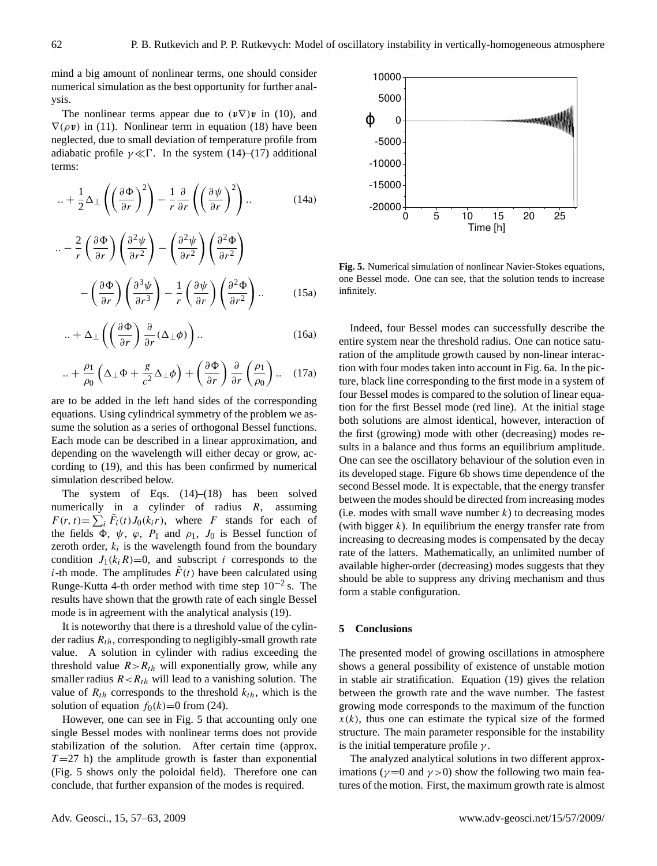mind a big amount of nonlinear terms, one should consider numerical simulation as the best opportunity for further analysis. curves), and b) γ = 3 × 10−5 millions are decreasing.

The nonlinear terms appear due to  $(v\nabla)v$  in [\(10\)](#page-1-4), and  $\nabla(\rho \mathbf{v})$  in [\(11\)](#page-1-6). Nonlinear term in equation [\(18\)](#page-2-2) have been neglected, due to small deviation of temperature profile from adiabatic profile  $\gamma \ll \Gamma$ . In the system [\(14\)](#page-2-3)–[\(17\)](#page-2-4) additional terms: Von<br>sma<br>γ≪

$$
\ldots + \frac{1}{2}\Delta_{\perp}\left(\left(\frac{\partial \Phi}{\partial r}\right)^2\right) - \frac{1}{r}\frac{\partial}{\partial r}\left(\left(\frac{\partial \psi}{\partial r}\right)^2\right) \ldots \tag{14a}
$$

$$
\begin{aligned}\n&\cdots = \frac{2}{r} \left( \frac{\partial \Phi}{\partial r} \right) \left( \frac{\partial^2 \psi}{\partial r^2} \right) - \left( \frac{\partial^2 \psi}{\partial r^2} \right) \left( \frac{\partial^2 \Phi}{\partial r^2} \right) \\
&- \left( \frac{\partial \Phi}{\partial r} \right) \left( \frac{\partial^3 \psi}{\partial r^3} \right) - \frac{1}{r} \left( \frac{\partial \psi}{\partial r} \right) \left( \frac{\partial^2 \Phi}{\partial r^2} \right) \dots \qquad (15a) \qquad \text{if} \n\end{aligned}
$$

$$
\ldots + \Delta_{\perp} \left( \left( \frac{\partial \Phi}{\partial r} \right) \frac{\partial}{\partial r} (\Delta_{\perp} \phi) \right) \ldots \tag{16a}
$$

$$
\ldots + \frac{\rho_1}{\rho_0} \left( \Delta_\perp \Phi + \frac{g}{c^2} \Delta_\perp \phi \right) + \left( \frac{\partial \Phi}{\partial r} \right) \frac{\partial}{\partial r} \left( \frac{\rho_1}{\rho_0} \right) \ldots \quad (17a)
$$

are to be added in the left hand sides of the corresponding equations. Using cylindrical symmetry of the problem we assume the solution as a series of orthogonal Bessel functions. Each mode can be described in a linear approximation, and depending on the wavelength will either decay or grow, according to [\(19\)](#page-2-1), and this has been confirmed by numerical simulation described below.

The system of Eqs. [\(14\)](#page-2-3)–[\(18\)](#page-2-2) has been solved numerically in a cylinder of radius  $R$ , assuming  $F(r, t) = \sum_{i} \tilde{F}_i(t) J_0(k_i r)$ , where F stands for each of the fields  $\Phi$ ,  $\psi$ ,  $\varphi$ ,  $P_1$  and  $\rho_1$ ,  $J_0$  is Bessel function of zeroth order,  $k_i$  is the wavelength found from the boundary condition  $J_1(k_iR)=0$ , and subscript i corresponds to the *i*-th mode. The amplitudes  $\tilde{F}(t)$  have been calculated using Runge-Kutta 4-th order method with time step  $10^{-2}$  s. The results have shown that the growth rate of each single Bessel mode is in agreement with the analytical analysis [\(19\)](#page-2-1).

It is noteworthy that there is a threshold value of the cylinder radius  $R_{th}$ , corresponding to negligibly-small growth rate value. A solution in cylinder with radius exceeding the threshold value  $R > R<sub>th</sub>$  will exponentially grow, while any smaller radius  $R < R_{th}$  will lead to a vanishing solution. The value of  $R_{th}$  corresponds to the threshold  $k_{th}$ , which is the solution of equation  $f_0(k)=0$  from [\(24\)](#page-3-3).

However, one can see in Fig. [5](#page-5-0) that accounting only one single Bessel modes with nonlinear terms does not provide stabilization of the solution. After certain time (approx.  $T=27$  h) the amplitude growth is faster than exponential (Fig. [5](#page-5-0) shows only the poloidal field). Therefore one can conclude, that further expansion of the modes is required.



<span id="page-5-0"></span>, infinitely. **Fig. 5.** Numerical simulation of nonlinear Navier-Stokes equations, Fig. 5. Numerical simulation of nonlinear Navier-Stokes equations, one Bessel mode. One can see, that the solution tends to increase

Indeed, four Bessel modes can successfully describe the entire system near the threshold radius. One can notice saturation of the amplitude growth caused by non-linear interaction with four modes taken into account in Fig. [6a](#page-6-9). In the picture, black line corresponding to the first mode in a system of four Bessel modes is compared to the solution of linear equation for the first Bessel mode (red line). At the initial stage both solutions are almost identical, however, interaction of the first (growing) mode with other (decreasing) modes results in a balance and thus forms an equilibrium amplitude. One can see the oscillatory behaviour of the solution even in its developed stage. Figure [6b](#page-6-9) shows time dependence of the second Bessel mode. It is expectable, that the energy transfer between the modes should be directed from increasing modes (i.e. modes with small wave number  $k$ ) to decreasing modes (with bigger  $k$ ). In equilibrium the energy transfer rate from increasing to decreasing modes is compensated by the decay rate of the latters. Mathematically, an unlimited number of available higher-order (decreasing) modes suggests that they should be able to suppress any driving mechanism and thus form a stable configuration.

### **5 Conclusions**

The presented model of growing oscillations in atmosphere shows a general possibility of existence of unstable motion in stable air stratification. Equation [\(19\)](#page-2-1) gives the relation between the growth rate and the wave number. The fastest growing mode corresponds to the maximum of the function  $x(k)$ , thus one can estimate the typical size of the formed structure. The main parameter responsible for the instability is the initial temperature profile  $\gamma$ .

The analyzed analytical solutions in two different approximations ( $\gamma$  =0 and  $\gamma$  >0) show the following two main features of the motion. First, the maximum growth rate is almost